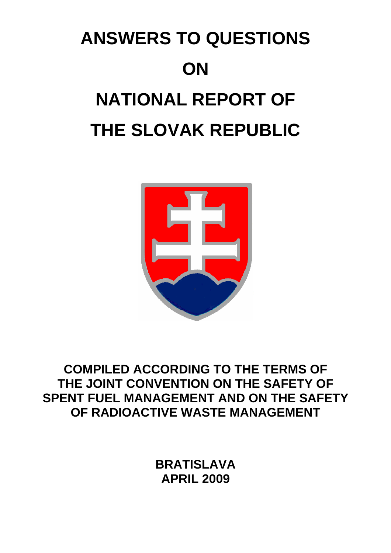## **ANSWERS TO QUESTIONS ON NATIONAL REPORT OF THE SLOVAK REPUBLIC**



## **COMPILED ACCORDING TO THE TERMS OF THE JOINT CONVENTION ON THE SAFETY OF SPENT FUEL MANAGEMENT AND ON THE SAFETY OF RADIOACTIVE WASTE MANAGEMENT**

**BRATISLAVA APRIL 2009**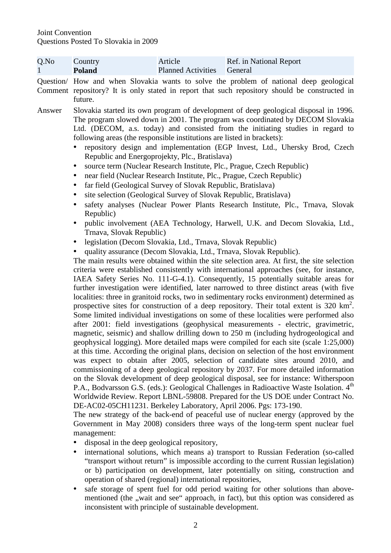| $Q$ .No | Country       | Article                   | Ref. in National Report                                                                                                                                                                 |
|---------|---------------|---------------------------|-----------------------------------------------------------------------------------------------------------------------------------------------------------------------------------------|
|         | <b>Poland</b> | <b>Planned Activities</b> | General                                                                                                                                                                                 |
|         | future.       |                           | Question/ How and when Slovakia wants to solve the problem of national deep geological<br>Comment repository? It is only stated in report that such repository should be constructed in |
| Answer  |               |                           | Slovakia started its own program of development of deep geological disposal in 1996.<br>The program slowed down in 2001. The program was coordinated by DECOM Slovekia                  |

- The program slowed down in 2001. The program was coordinated by DECOM Slovakia Ltd. (DECOM, a.s. today) and consisted from the initiating studies in regard to following areas (the responsible institutions are listed in brackets):
	- repository design and implementation (EGP Invest, Ltd., Uhersky Brod, Czech Republic and Energoprojekty, Plc., Bratislava)
	- source term (Nuclear Research Institute, Plc., Prague, Czech Republic)
	- near field (Nuclear Research Institute, Plc., Prague, Czech Republic)
	- far field (Geological Survey of Slovak Republic, Bratislava)
	- site selection (Geological Survey of Slovak Republic, Bratislava)
	- safety analyses (Nuclear Power Plants Research Institute, Plc., Trnava, Slovak Republic)
	- public involvement (AEA Technology, Harwell, U.K. and Decom Slovakia, Ltd., Trnava, Slovak Republic)
	- legislation (Decom Slovakia, Ltd., Trnava, Slovak Republic)
	- quality assurance (Decom Slovakia, Ltd., Trnava, Slovak Republic).

The main results were obtained within the site selection area. At first, the site selection criteria were established consistently with international approaches (see, for instance, IAEA Safety Series No. 111-G-4.1). Consequently, 15 potentially suitable areas for further investigation were identified, later narrowed to three distinct areas (with five localities: three in granitoid rocks, two in sedimentary rocks environment) determined as prospective sites for construction of a deep repository. Their total extent is  $320 \text{ km}^2$ . Some limited individual investigations on some of these localities were performed also after 2001: field investigations (geophysical measurements - electric, gravimetric, magnetic, seismic) and shallow drilling down to 250 m (including hydrogeological and geophysical logging). More detailed maps were compiled for each site (scale 1:25,000) at this time. According the original plans, decision on selection of the host environment was expect to obtain after 2005, selection of candidate sites around 2010, and commissioning of a deep geological repository by 2037. For more detailed information on the Slovak development of deep geological disposal, see for instance: Witherspoon P.A., Bodvarsson G.S. (eds.): Geological Challenges in Radioactive Waste Isolation. 4<sup>th</sup> Worldwide Review. Report LBNL-59808. Prepared for the US DOE under Contract No. DE-AC02-05CH11231. Berkeley Laboratory, April 2006. Pgs: 173-190.

The new strategy of the back-end of peaceful use of nuclear energy (approved by the Government in May 2008) considers three ways of the long-term spent nuclear fuel management:

- disposal in the deep geological repository,
- international solutions, which means a) transport to Russian Federation (so-called "transport without return" is impossible according to the current Russian legislation) or b) participation on development, later potentially on siting, construction and operation of shared (regional) international repositories,
- safe storage of spent fuel for odd period waiting for other solutions than abovementioned (the "wait and see" approach, in fact), but this option was considered as inconsistent with principle of sustainable development.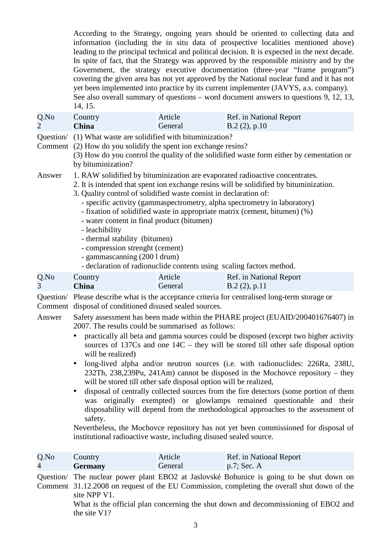According to the Strategy, ongoing years should be oriented to collecting data and information (including the in situ data of prospective localities mentioned above) leading to the principal technical and political decision. It is expected in the next decade. In spite of fact, that the Strategy was approved by the responsible ministry and by the Government, the strategy executive documentation (three-year "frame program") covering the given area has not yet approved by the National nuclear fund and it has not yet been implemented into practice by its current implementer (JAVYS, a.s. company). See also overall summary of questions – word document answers to questions 9, 12, 13, 14, 15.

| $Q$ . No | Country      | Article | Ref. in National Report |
|----------|--------------|---------|-------------------------|
|          | <b>China</b> | General | $B.2(2)$ , p.10         |

Question/ (1) What waste are solidified with bituminization?

Comment (2) How do you solidify the spent ion exchange resins?

(3) How do you control the quality of the solidified waste form either by cementation or by bituminization?

Answer 1. RAW solidified by bituminization are evaporated radioactive concentrates.

2. It is intended that spent ion exchange resins will be solidified by bituminization.

- 3. Quality control of solidified waste consist in declaration of:
	- specific activity (gammaspectrometry, alpha spectrometry in laboratory)
	- fixation of solidified waste in appropriate matrix (cement, bitumen) (%)
	- water content in final product (bitumen)
	- leachibility
	- thermal stability (bitumen)
	- compression strenght (cement)
	- gammascanning (200 l drum)
	- declaration of radionuclide contents using scaling factors method.

| Q.No | Country      | Article | Ref. in National Report |
|------|--------------|---------|-------------------------|
|      | <b>China</b> | General | B.2(2), p.11            |

Question/ Please describe what is the acceptance criteria for centralised long-term storage or Comment disposal of conditioned disused sealed sources.

- Answer Safety assessment has been made within the PHARE project (EUAID/200401676407) in 2007. The results could be summarised as follows:
	- practically all beta and gamma sources could be disposed (except two higher activity sources of 137Cs and one 14C – they will be stored till other safe disposal option will be realized)
	- long-lived alpha and/or neutron sources (i.e. with radionuclides: 226Ra, 238U, 232Th, 238,239Pu, 241Am) cannot be disposed in the Mochovce repository – they will be stored till other safe disposal option will be realized,
	- disposal of centrally collected sources from the fire detectors (some portion of them was originally exempted) or glowlamps remained questionable and their disposability will depend from the methodological approaches to the assessment of safety.

Nevertheless, the Mochovce repository has not yet been commissioned for disposal of institutional radioactive waste, including disused sealed source.

| Q.No                   | Country        | Article | Ref. in National Report |
|------------------------|----------------|---------|-------------------------|
| $\boldsymbol{\Lambda}$ | <b>Germany</b> | General | $p.7$ ; Sec. A          |

Question/ The nuclear power plant EBO2 at Jaslovské Bohunice is going to be shut down on Comment 31.12.2008 on request of the EU Commission, completing the overall shut down of the site NPP V1.

What is the official plan concerning the shut down and decommissioning of EBO2 and the site V1?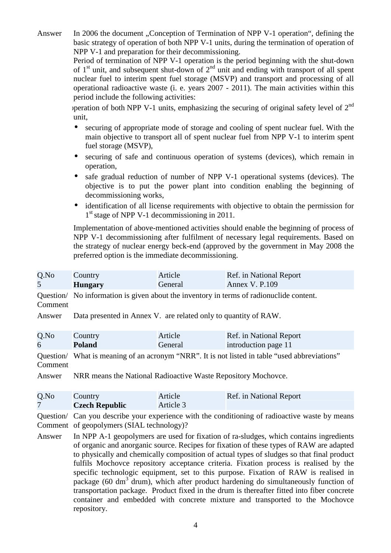Answer In 2006 the document "Conception of Termination of NPP V-1 operation", defining the basic strategy of operation of both NPP V-1 units, during the termination of operation of NPP V-1 and preparation for their decommissioning.

> Period of termination of NPP V-1 operation is the period beginning with the shut-down of  $1<sup>st</sup>$  unit, and subsequent shut-down of  $2<sup>nd</sup>$  unit and ending with transport of all spent nuclear fuel to interim spent fuel storage (MSVP) and transport and processing of all operational radioactive waste (i. e. years 2007 - 2011). The main activities within this period include the following activities:

> specultum of both NPP V-1 units, emphasizing the securing of original safety level of  $2<sup>nd</sup>$ unit.

- securing of appropriate mode of storage and cooling of spent nuclear fuel. With the main objective to transport all of spent nuclear fuel from NPP V-1 to interim spent fuel storage (MSVP),
- securing of safe and continuous operation of systems (devices), which remain in operation,
- safe gradual reduction of number of NPP V-1 operational systems (devices). The objective is to put the power plant into condition enabling the beginning of decommissioning works,
- identification of all license requirements with objective to obtain the permission for 1<sup>st</sup> stage of NPP V-1 decommissioning in 2011.

Implementation of above-mentioned activities should enable the beginning of process of NPP V-1 decommissioning after fulfilment of necessary legal requirements. Based on the strategy of nuclear energy beck-end (approved by the government in May 2008 the preferred option is the immediate decommissioning.

| Q.No    | Country        | Article | Ref. in National Report                                                                 |
|---------|----------------|---------|-----------------------------------------------------------------------------------------|
|         | <b>Hungary</b> | General | <b>Annex V. P.109</b>                                                                   |
| Comment |                |         | Question/ No information is given about the inventory in terms of radionuclide content. |

Answer Data presented in Annex V. are related only to quantity of RAW.

| $Q$ .No | Country       | Article | Ref. in National Report |
|---------|---------------|---------|-------------------------|
| 6       | <b>Poland</b> | General | introduction page 11    |

Question/ What is meaning of an acronym "NRR". It is not listed in table "used abbreviations" Comment

Answer NRR means the National Radioactive Waste Repository Mochovce.

| Q.No | Country               | Article   | Ref. in National Report |
|------|-----------------------|-----------|-------------------------|
|      | <b>Czech Republic</b> | Article 3 |                         |

Question/ Can you describe your experience with the conditioning of radioactive waste by means Comment of geopolymers (SIAL technology)?

Answer In NPP A-1 geopolymers are used for fixation of ra-sludges, which contains ingredients of organic and anorganic source. Recipes for fixation of these types of RAW are adapted to physically and chemically composition of actual types of sludges so that final product fulfils Mochovce repository acceptance criteria. Fixation process is realised by the specific technologic equipment, set to this purpose. Fixation of RAW is realised in package (60 dm<sup>3</sup> drum), which after product hardening do simultaneously function of transportation package. Product fixed in the drum is thereafter fitted into fiber concrete container and embedded with concrete mixture and transported to the Mochovce repository.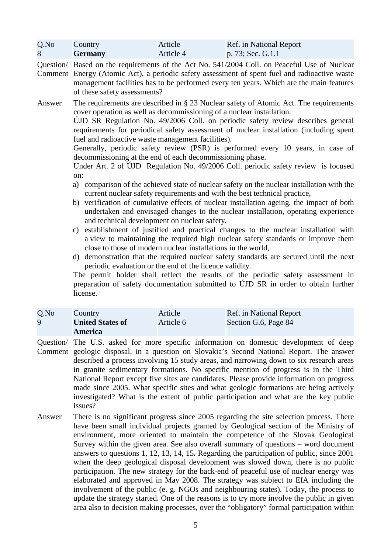| Q.No | Country        | Article   | Ref. in National Report |
|------|----------------|-----------|-------------------------|
|      | <b>Germany</b> | Article 4 | p. 73; Sec. G.1.1       |

Question/ Based on the requirements of the Act No. 541/2004 Coll. on Peaceful Use of Nuclear Comment Energy (Atomic Act), a periodic safety assessment of spent fuel and radioactive waste management facilities has to be performed every ten years. Which are the main features of these safety assessments?

Answer The requirements are described in § 23 Nuclear safety of Atomic Act. The requirements cover operation as well as decommissioning of a nuclear installation.

> ÚJD SR Regulation No. 49/2006 Coll. on periodic safety review describes general requirements for periodical safety assessment of nuclear installation (including spent fuel and radioactive waste management facilities).

> Generally, periodic safety review (PSR) is performed every 10 years, in case of decommissioning at the end of each decommissioning phase.

> Under Art. 2 of ÚJD Regulation No. 49/2006 Coll. periodic safety review is focused on:

- a) comparison of the achieved state of nuclear safety on the nuclear installation with the current nuclear safety requirements and with the best technical practice,
- b) verification of cumulative effects of nuclear installation ageing, the impact of both undertaken and envisaged changes to the nuclear installation, operating experience and technical development on nuclear safety,
- c) establishment of justified and practical changes to the nuclear installation with a view to maintaining the required high nuclear safety standards or improve them close to those of modern nuclear installations in the world,
- d) demonstration that the required nuclear safety standards are secured until the next periodic evaluation or the end of the licence validity.

The permit holder shall reflect the results of the periodic safety assessment in preparation of safety documentation submitted to ÚJD SR in order to obtain further license.

| $Q$ .No | Country                 | Article   | Ref. in National Report |
|---------|-------------------------|-----------|-------------------------|
| 9       | <b>United States of</b> | Article 6 | Section G.6, Page 84    |
|         | America                 |           |                         |

- Question/ The U.S. asked for more specific information on domestic development of deep Comment geologic disposal, in a question on Slovakia's Second National Report. The answer described a process involving 15 study areas, and narrowing down to six research areas in granite sedimentary formations. No specific mention of progress is in the Third National Report except five sites are candidates. Please provide information on progress made since 2005. What specific sites and what geologic formations are being actively investigated? What is the extent of public participation and what are the key public issues?
- Answer There is no significant progress since 2005 regarding the site selection process. There have been small individual projects granted by Geological section of the Ministry of environment, more oriented to maintain the competence of the Slovak Geological Survey within the given area. See also overall summary of questions – word document answers to questions 1, 12, 13, 14, 15**.** Regarding the participation of public, since 2001 when the deep geological disposal development was slowed down, there is no public participation. The new strategy for the back-end of peaceful use of nuclear energy was elaborated and approved in May 2008. The strategy was subject to EIA including the involvement of the public (e. g. NGOs and neighbouring states). Today, the process to update the strategy started. One of the reasons is to try more involve the public in given area also to decision making processes, over the "obligatory" formal participation within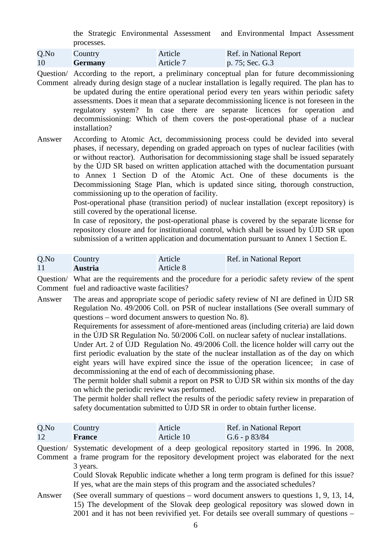the Strategic Environmental Assessment and Environmental Impact Assessment processes.

| Q.No | Country        | Article   | Ref. in National Report |
|------|----------------|-----------|-------------------------|
| 10   | <b>Germany</b> | Article 7 | p. 75; Sec. $G.3$       |

Question/ According to the report, a preliminary conceptual plan for future decommissioning Comment already during design stage of a nuclear installation is legally required. The plan has to be updated during the entire operational period every ten years within periodic safety assessments. Does it mean that a separate decommissioning licence is not foreseen in the regulatory system? In case there are separate licences for operation and decommissioning: Which of them covers the post-operational phase of a nuclear installation?

Answer According to Atomic Act, decommissioning process could be devided into several phases, if necessary, depending on graded approach on types of nuclear facilities (with or without reactor). Authorisation for decommissioning stage shall be issued separately by the ÚJD SR based on written application attached with the documentation pursuant to Annex 1 Section D of the Atomic Act. One of these documents is the Decommissioning Stage Plan, which is updated since siting, thorough construction, commissioning up to the operation of facility.

> Post-operational phase (transition period) of nuclear installation (except repository) is still covered by the operational license.

> In case of repository, the post-operational phase is covered by the separate license for repository closure and for institutional control, which shall be issued by ÚJD SR upon submission of a written application and documentation pursuant to Annex 1 Section E.

| Q.No | Country        | Article   | Ref. in National Report |
|------|----------------|-----------|-------------------------|
|      | <b>Austria</b> | Article 8 |                         |

Question/ What are the requirements and the procedure for a periodic safety review of the spent Comment fuel and radioactive waste facilities?

Answer The areas and appropriate scope of periodic safety review of NI are defined in ÚJD SR Regulation No. 49/2006 Coll. on PSR of nuclear installations (See overall summary of questions – word document answers to question No. 8).

> Requirements for assessment of afore-mentioned areas (including criteria) are laid down in the ÚJD SR Regulation No. 50/2006 Coll. on nuclear safety of nuclear installations.

> Under Art. 2 of ÚJD Regulation No. 49/2006 Coll. the licence holder will carry out the first periodic evaluation by the state of the nuclear installation as of the day on which eight years will have expired since the issue of the operation licencee; in case of decommissioning at the end of each of decommissioning phase.

> The permit holder shall submit a report on PSR to ÚJD SR within six months of the day on which the periodic review was performed.

> The permit holder shall reflect the results of the periodic safety review in preparation of safety documentation submitted to ÚJD SR in order to obtain further license.

| Q.No | Country | Article    | Ref. in National Report |
|------|---------|------------|-------------------------|
|      | France  | Article 10 | G.6 - $p \frac{83}{84}$ |

Question/ Systematic development of a deep geological repository started in 1996. In 2008, Comment a frame program for the repository development project was elaborated for the next 3 years.

Could Slovak Republic indicate whether a long term program is defined for this issue? If yes, what are the main steps of this program and the associated schedules?

Answer (See overall summary of questions – word document answers to questions 1, 9, 13, 14, 15) The development of the Slovak deep geological repository was slowed down in 2001 and it has not been revivified yet. For details see overall summary of questions –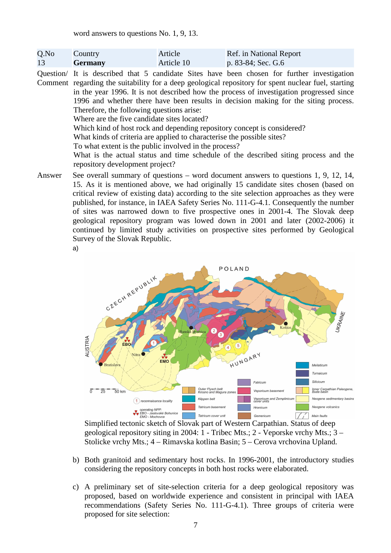word answers to questions No. 1, 9, 13.

| Q.No | Country        | Article    | Ref. in National Report |
|------|----------------|------------|-------------------------|
| 13   | <b>Germany</b> | Article 10 | p. 83-84; Sec. G.6      |

Question/ It is described that 5 candidate Sites have been chosen for further investigation Comment regarding the suitability for a deep geological repository for spent nuclear fuel, starting in the year 1996. It is not described how the process of investigation progressed since 1996 and whether there have been results in decision making for the siting process. Therefore, the following questions arise: Where are the five candidate sites located?

Which kind of host rock and depending repository concept is considered?

What kinds of criteria are applied to characterise the possible sites?

To what extent is the public involved in the process?

What is the actual status and time schedule of the described siting process and the repository development project?

Answer See overall summary of questions – word document answers to questions 1, 9, 12, 14, 15. As it is mentioned above, we had originally 15 candidate sites chosen (based on critical review of existing data) according to the site selection approaches as they were published, for instance, in IAEA Safety Series No. 111-G-4.1. Consequently the number of sites was narrowed down to five prospective ones in 2001-4. The Slovak deep geological repository program was lowed down in 2001 and later (2002-2006) it continued by limited study activities on prospective sites performed by Geological Survey of the Slovak Republic.





Simplified tectonic sketch of Slovak part of Western Carpathian. Status of deep geological repository siting in 2004: 1 - Tribec Mts.; 2 - Veporske vrchy Mts.; 3 – Stolicke vrchy Mts.; 4 – Rimavska kotlina Basin; 5 – Cerova vrchovina Upland.

- b) Both granitoid and sedimentary host rocks. In 1996-2001, the introductory studies considering the repository concepts in both host rocks were elaborated.
- c) A preliminary set of site-selection criteria for a deep geological repository was proposed, based on worldwide experience and consistent in principal with IAEA recommendations (Safety Series No. 111-G-4.1). Three groups of criteria were proposed for site selection: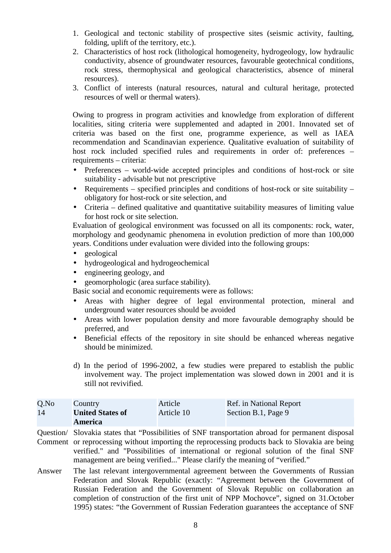- 1. Geological and tectonic stability of prospective sites (seismic activity, faulting, folding, uplift of the territory, etc.).
- 2. Characteristics of host rock (lithological homogeneity, hydrogeology, low hydraulic conductivity, absence of groundwater resources, favourable geotechnical conditions, rock stress, thermophysical and geological characteristics, absence of mineral resources).
- 3. Conflict of interests (natural resources, natural and cultural heritage, protected resources of well or thermal waters).

Owing to progress in program activities and knowledge from exploration of different localities, siting criteria were supplemented and adapted in 2001. Innovated set of criteria was based on the first one, programme experience, as well as IAEA recommendation and Scandinavian experience. Qualitative evaluation of suitability of host rock included specified rules and requirements in order of: preferences – requirements – criteria:

- Preferences world-wide accepted principles and conditions of host-rock or site suitability - advisable but not prescriptive
- Requirements specified principles and conditions of host-rock or site suitability obligatory for host-rock or site selection, and
- Criteria defined qualitative and quantitative suitability measures of limiting value for host rock or site selection.

Evaluation of geological environment was focussed on all its components: rock, water, morphology and geodynamic phenomena in evolution prediction of more than 100,000 years. Conditions under evaluation were divided into the following groups:

- geological
- hydrogeological and hydrogeochemical
- engineering geology, and
- geomorphologic (area surface stability).

Basic social and economic requirements were as follows:

- Areas with higher degree of legal environmental protection, mineral and underground water resources should be avoided
- Areas with lower population density and more favourable demography should be preferred, and
- Beneficial effects of the repository in site should be enhanced whereas negative should be minimized.
- d) In the period of 1996-2002, a few studies were prepared to establish the public involvement way. The project implementation was slowed down in 2001 and it is still not revivified.

| $Q$ .No | Country                 | Article    | Ref. in National Report |
|---------|-------------------------|------------|-------------------------|
| 14      | <b>United States of</b> | Article 10 | Section B.1, Page 9     |
|         | <b>America</b>          |            |                         |

Question/ Slovakia states that "Possibilities of SNF transportation abroad for permanent disposal

Comment or reprocessing without importing the reprocessing products back to Slovakia are being verified." and "Possibilities of international or regional solution of the final SNF management are being verified..." Please clarify the meaning of "verified."

Answer The last relevant intergovernmental agreement between the Governments of Russian Federation and Slovak Republic (exactly: "Agreement between the Government of Russian Federation and the Government of Slovak Republic on collaboration an completion of construction of the first unit of NPP Mochovce", signed on 31.October 1995) states: "the Government of Russian Federation guarantees the acceptance of SNF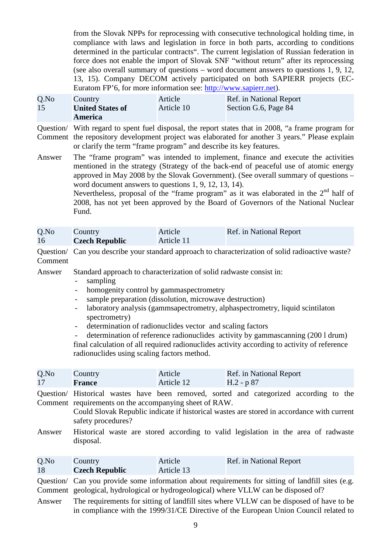from the Slovak NPPs for reprocessing with consecutive technological holding time, in compliance with laws and legislation in force in both parts, according to conditions determined in the particular contracts". The current legislation of Russian federation in force does not enable the import of Slovak SNF "without return" after its reprocessing (see also overall summary of questions – word document answers to questions 1, 9, 12, 13, 15). Company DECOM actively participated on both SAPIERR projects (EC-Euratom FP'6, for more information see: http://www.sapierr.net).

| Q.No | Country                 | Article    | Ref. in National Report |
|------|-------------------------|------------|-------------------------|
| 15   | <b>United States of</b> | Article 10 | Section G.6, Page 84    |
|      | America                 |            |                         |

Question/ With regard to spent fuel disposal, the report states that in 2008, "a frame program for Comment the repository development project was elaborated for another 3 years." Please explain or clarify the term "frame program" and describe its key features.

Answer The "frame program" was intended to implement, finance and execute the activities mentioned in the strategy (Strategy of the back-end of peaceful use of atomic energy approved in May 2008 by the Slovak Government). (See overall summary of questions – word document answers to questions 1, 9, 12, 13, 14).

Nevertheless, proposal of the "frame program" as it was elaborated in the  $2<sup>nd</sup>$  half of 2008, has not yet been approved by the Board of Governors of the National Nuclear Fund.

| Q.No | Country               | Article    | Ref. in National Report |
|------|-----------------------|------------|-------------------------|
| 16   | <b>Czech Republic</b> | Article 11 |                         |

Question/ Can you describe your standard approach to characterization of solid radioactive waste? Comment

Answer Standard approach to characterization of solid radwaste consist in:

- sampling

**Czech Republic**

18

- homogenity control by gammaspectrometry
- sample preparation (dissolution, microwave destruction)
- laboratory analysis (gammsapectrometry, alphaspectrometry, liquid scintilaton spectrometry)
- determination of radionuclides vector and scaling factors
- determination of reference radionuclides activity by gammascanning (200 l drum) final calculation of all required radionuclides activity according to activity of reference radionuclides using scaling factors method.

| Q.No<br>17 | Country<br><b>France</b>                                                     | Article<br>Article 12 | Ref. in National Report<br>$H.2 - p.87$                                                                                                                                             |
|------------|------------------------------------------------------------------------------|-----------------------|-------------------------------------------------------------------------------------------------------------------------------------------------------------------------------------|
|            | Comment requirements on the accompanying sheet of RAW.<br>safety procedures? |                       | Question/ Historical wastes have been removed, sorted and categorized according to the<br>Could Slovak Republic indicate if historical wastes are stored in accordance with current |
| Answer     | disposal.                                                                    |                       | Historical waste are stored according to valid legislation in the area of radwaste                                                                                                  |
| Q.No       | Country                                                                      | Article               | Ref. in National Report                                                                                                                                                             |

Question/ Can you provide some information about requirements for sitting of landfill sites (e.g. Comment geological, hydrological or hydrogeological) where VLLW can be disposed of?

Article 13

Answer The requirements for sitting of landfill sites where VLLW can be disposed of have to be in compliance with the 1999/31/CE Directive of the European Union Council related to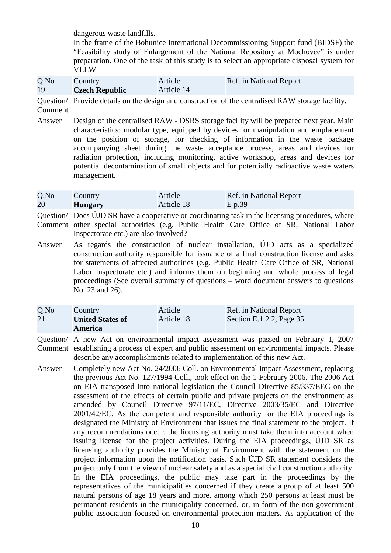dangerous waste landfills.

In the frame of the Bohunice International Decommissioning Support fund (BIDSF) the "Feasibility study of Enlargement of the National Repository at Mochovce" is under preparation. One of the task of this study is to select an appropriate disposal system for VLLW.

| Q.No | Country               | Article    | Ref. in National Report |
|------|-----------------------|------------|-------------------------|
| 19   | <b>Czech Republic</b> | Article 14 |                         |

Question/ Provide details on the design and construction of the centralised RAW storage facility. Comment

Answer Design of the centralised RAW - DSRS storage facility will be prepared next year. Main characteristics: modular type, equipped by devices for manipulation and emplacement on the position of storage, for checking of information in the waste package accompanying sheet during the waste acceptance process, areas and devices for radiation protection, including monitoring, active workshop, areas and devices for potential decontamination of small objects and for potentially radioactive waste waters management.

| Q.No | Country        | Article    | Ref. in National Report |
|------|----------------|------------|-------------------------|
| 20   | <b>Hungary</b> | Article 18 | E p.39                  |

Question/ Does ÚJD SR have a cooperative or coordinating task in the licensing procedures, where Comment other special authorities (e.g. Public Health Care Office of SR, National Labor Inspectorate etc.) are also involved?

Answer As regards the construction of nuclear installation, ÚJD acts as a specialized construction authority responsible for issuance of a final construction license and asks for statements of affected authorities (e.g. Public Health Care Office of SR, National Labor Inspectorate etc.) and informs them on beginning and whole process of legal proceedings (See overall summary of questions – word document answers to questions No. 23 and 26).

| Q.No | Country                 | Article    | Ref. in National Report    |
|------|-------------------------|------------|----------------------------|
| 21   | <b>United States of</b> | Article 18 | Section E.1.2.2, Page $35$ |
|      | <b>America</b>          |            |                            |

Question/ A new Act on environmental impact assessment was passed on February 1, 2007 Comment establishing a process of expert and public assessment on environmental impacts. Please describe any accomplishments related to implementation of this new Act.

Answer Completely new Act No. 24/2006 Coll. on Environmental Impact Assessment, replacing the previous Act No. 127/1994 Coll., took effect on the 1 February 2006. The 2006 Act on EIA transposed into national legislation the Council Directive 85/337/EEC on the assessment of the effects of certain public and private projects on the environment as amended by Council Directive 97/11/EC, Directive 2003/35/EC and Directive 2001/42/EC. As the competent and responsible authority for the EIA proceedings is designated the Ministry of Environment that issues the final statement to the project. If any recommendations occur, the licensing authority must take them into account when issuing license for the project activities. During the EIA proceedings, ÚJD SR as licensing authority provides the Ministry of Environment with the statement on the project information upon the notification basis. Such ÚJD SR statement considers the project only from the view of nuclear safety and as a special civil construction authority. In the EIA proceedings, the public may take part in the proceedings by the representatives of the municipalities concerned if they create a group of at least 500 natural persons of age 18 years and more, among which 250 persons at least must be permanent residents in the municipality concerned, or, in form of the non-government public association focused on environmental protection matters. As application of the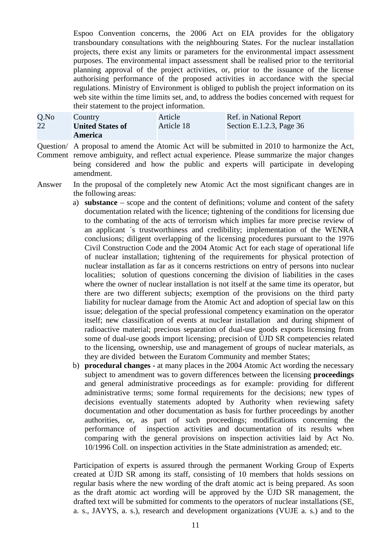Espoo Convention concerns, the 2006 Act on EIA provides for the obligatory transboundary consultations with the neighbouring States. For the nuclear installation projects, there exist any limits or parameters for the environmental impact assessment purposes. The environmental impact assessment shall be realised prior to the territorial planning approval of the project activities, or, prior to the issuance of the license authorising performance of the proposed activities in accordance with the special regulations. Ministry of Environment is obliged to publish the project information on its web site within the time limits set, and, to address the bodies concerned with request for their statement to the project information.

| $Q$ .No | Country                 | Article    | Ref. in National Report    |
|---------|-------------------------|------------|----------------------------|
| 22      | <b>United States of</b> | Article 18 | Section E.1.2.3, Page $36$ |
|         | <b>America</b>          |            |                            |

Question/ A proposal to amend the Atomic Act will be submitted in 2010 to harmonize the Act, Comment remove ambiguity, and reflect actual experience. Please summarize the major changes being considered and how the public and experts will participate in developing amendment.

Answer In the proposal of the completely new Atomic Act the most significant changes are in the following areas:

- a) **substance** scope and the content of definitions; volume and content of the safety documentation related with the licence; tightening of the conditions for licensing due to the combating of the acts of terrorism which implies far more precise review of an applicant ´s trustworthiness and credibility; implementation of the WENRA conclusions; diligent overlapping of the licensing procedures pursuant to the 1976 Civil Construction Code and the 2004 Atomic Act for each stage of operational life of nuclear installation; tightening of the requirements for physical protection of nuclear installation as far as it concerns restrictions on entry of persons into nuclear localities; solution of questions concerning the division of liabilities in the cases where the owner of nuclear installation is not itself at the same time its operator, but there are two different subjects; exemption of the provisions on the third party liability for nuclear damage from the Atomic Act and adoption of special law on this issue; delegation of the special professional competency examination on the operator itself; new classification of events at nuclear installation and during shipment of radioactive material; precious separation of dual-use goods exports licensing from some of dual-use goods import licensing; precision of ÚJD SR competencies related to the licensing, ownership, use and management of groups of nuclear materials, as they are divided between the Euratom Community and member States;
- b) **procedural changes** at many places in the 2004 Atomic Act wording the necessary subject to amendment was to govern differences between the licensing **proceedings** and general administrative proceedings as for example: providing for different administrative terms; some formal requirements for the decisions; new types of decisions eventually statements adopted by Authority when reviewing safety documentation and other documentation as basis for further proceedings by another authorities, or, as part of such proceedings; modifications concerning the performance of inspection activities and documentation of its results when comparing with the general provisions on inspection activities laid by Act No. 10/1996 Coll. on inspection activities in the State administration as amended; etc.

Participation of experts is assured through the permanent Working Group of Experts created at ÚJD SR among its staff, consisting of 10 members that holds sessions on regular basis where the new wording of the draft atomic act is being prepared. As soon as the draft atomic act wording will be approved by the ÚJD SR management, the drafted text will be submitted for comments to the operators of nuclear installations (SE, a. s., JAVYS, a. s.), research and development organizations (VUJE a. s.) and to the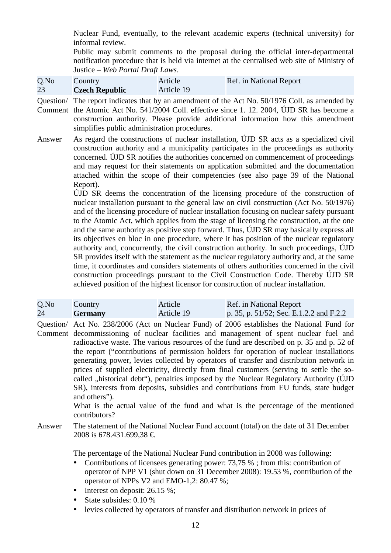Nuclear Fund, eventually, to the relevant academic experts (technical university) for informal review.

Public may submit comments to the proposal during the official inter-departmental notification procedure that is held via internet at the centralised web site of Ministry of Justice – *Web Portal Draft Laws*.

| Q.No | Country               | Article    | Ref. in National Report |
|------|-----------------------|------------|-------------------------|
| 23   | <b>Czech Republic</b> | Article 19 |                         |

Question/ The report indicates that by an amendment of the Act No. 50/1976 Coll. as amended by Comment the Atomic Act No. 541/2004 Coll. effective since 1. 12. 2004, ÚJD SR has become a construction authority. Please provide additional information how this amendment simplifies public administration procedures.

Answer As regard the constructions of nuclear installation, ÚJD SR acts as a specialized civil construction authority and a municipality participates in the proceedings as authority concerned. ÚJD SR notifies the authorities concerned on commencement of proceedings and may request for their statements on application submitted and the documentation attached within the scope of their competencies (see also page 39 of the National Report).

> ÚJD SR deems the concentration of the licensing procedure of the construction of nuclear installation pursuant to the general law on civil construction (Act No. 50/1976) and of the licensing procedure of nuclear installation focusing on nuclear safety pursuant to the Atomic Act, which applies from the stage of licensing the construction, at the one and the same authority as positive step forward. Thus, ÚJD SR may basically express all its objectives en bloc in one procedure, where it has position of the nuclear regulatory authority and, concurrently, the civil construction authority. In such proceedings, ÚJD SR provides itself with the statement as the nuclear regulatory authority and, at the same time, it coordinates and considers statements of others authorities concerned in the civil construction proceedings pursuant to the Civil Construction Code. Thereby ÚJD SR achieved position of the highest licensor for construction of nuclear installation.

| Q.No | Country        | Article    | Ref. in National Report                 |
|------|----------------|------------|-----------------------------------------|
| 24   | <b>Germany</b> | Article 19 | p. 35, p. 51/52; Sec. E.1.2.2 and F.2.2 |

Question/ Act No. 238/2006 (Act on Nuclear Fund) of 2006 establishes the National Fund for Comment decommissioning of nuclear facilities and management of spent nuclear fuel and radioactive waste. The various resources of the fund are described on p. 35 and p. 52 of the report ("contributions of permission holders for operation of nuclear installations generating power, levies collected by operators of transfer and distribution network in prices of supplied electricity, directly from final customers (serving to settle the socalled , historical debt"), penalties imposed by the Nuclear Regulatory Authority (ÚJD SR), interests from deposits, subsidies and contributions from EU funds, state budget and others").

> What is the actual value of the fund and what is the percentage of the mentioned contributors?

Answer The statement of the National Nuclear Fund account (total) on the date of 31 December 2008 is 678.431.699,38 €.

The percentage of the National Nuclear Fund contribution in 2008 was following:

- Contributions of licensees generating power: 73,75 %; from this: contribution of operator of NPP V1 (shut down on 31 December 2008): 19.53 %, contribution of the operator of NPPs V2 and EMO-1,2: 80.47 %;
- Interest on deposit: 26.15 %:
- State subsides: 0.10 %
- levies collected by operators of transfer and distribution network in prices of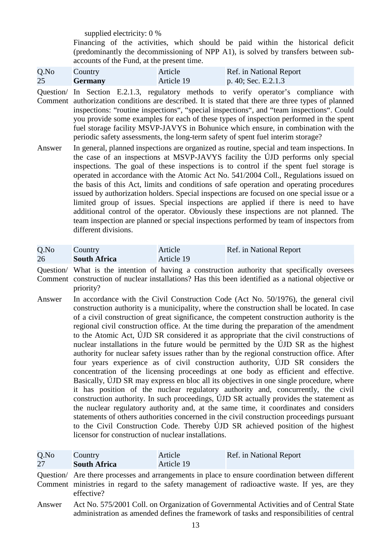supplied electricity: 0 %

Financing of the activities, which should be paid within the historical deficit (predominantly the decommissioning of NPP A1), is solved by transfers between subaccounts of the Fund, at the present time.

| Q.No | Country        | Article    | Ref. in National Report |
|------|----------------|------------|-------------------------|
| 25   | <b>Germany</b> | Article 19 | $p. 40;$ Sec. E.2.1.3   |

Question/ In Section E.2.1.3, regulatory methods to verify operator's compliance with Comment authorization conditions are described. It is stated that there are three types of planned inspections: "routine inspections", "special inspections", and "team inspections". Could you provide some examples for each of these types of inspection performed in the spent fuel storage facility MSVP-JAVYS in Bohunice which ensure, in combination with the periodic safety assessments, the long-term safety of spent fuel interim storage?

Answer In general, planned inspections are organized as routine, special and team inspections. In the case of an inspections at MSVP-JAVYS facility the ÚJD performs only special inspections. The goal of these inspections is to control if the spent fuel storage is operated in accordance with the Atomic Act No. 541/2004 Coll., Regulations issued on the basis of this Act, limits and conditions of safe operation and operating procedures issued by authorization holders. Special inspections are focused on one special issue or a limited group of issues. Special inspections are applied if there is need to have additional control of the operator. Obviously these inspections are not planned. The team inspection are planned or special inspections performed by team of inspectors from different divisions.

| Q.No | Country             | Article    | Ref. in National Report |
|------|---------------------|------------|-------------------------|
| 26   | <b>South Africa</b> | Article 19 |                         |

- Question/ What is the intention of having a construction authority that specifically oversees Comment construction of nuclear installations? Has this been identified as a national objective or priority?
- Answer In accordance with the Civil Construction Code (Act No. 50/1976), the general civil construction authority is a municipality, where the construction shall be located. In case of a civil construction of great significance, the competent construction authority is the regional civil construction office. At the time during the preparation of the amendment to the Atomic Act, ÚJD SR considered it as appropriate that the civil constructions of nuclear installations in the future would be permitted by the ÚJD SR as the highest authority for nuclear safety issues rather than by the regional construction office. After four years experience as of civil construction authority, ÚJD SR considers the concentration of the licensing proceedings at one body as efficient and effective. Basically, ÚJD SR may express en bloc all its objectives in one single procedure, where it has position of the nuclear regulatory authority and, concurrently, the civil construction authority. In such proceedings, ÚJD SR actually provides the statement as the nuclear regulatory authority and, at the same time, it coordinates and considers statements of others authorities concerned in the civil construction proceedings pursuant to the Civil Construction Code. Thereby ÚJD SR achieved position of the highest licensor for construction of nuclear installations.

| Q.No | <b>Country</b>      | Article    | Ref. in National Report |
|------|---------------------|------------|-------------------------|
| 27   | <b>South Africa</b> | Article 19 |                         |

Question/ Are there processes and arrangements in place to ensure coordination between different Comment ministries in regard to the safety management of radioactive waste. If yes, are they effective?

Answer Act No. 575/2001 Coll. on Organization of Governmental Activities and of Central State administration as amended defines the framework of tasks and responsibilities of central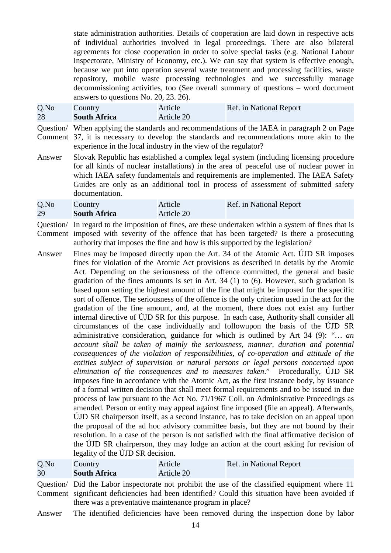state administration authorities. Details of cooperation are laid down in respective acts of individual authorities involved in legal proceedings. There are also bilateral agreements for close cooperation in order to solve special tasks (e.g. National Labour Inspectorate, Ministry of Economy, etc.). We can say that system is effective enough, because we put into operation several waste treatment and processing facilities, waste repository, mobile waste processing technologies and we successfully manage decommissioning activities, too (See overall summary of questions – word document answers to questions No. 20, 23. 26).

| $Q$ .No | Country             | Article    | Ref. in National Report |
|---------|---------------------|------------|-------------------------|
| 28      | <b>South Africa</b> | Article 20 |                         |

Question/ When applying the standards and recommendations of the IAEA in paragraph 2 on Page Comment 37, it is necessary to develop the standards and recommendations more akin to the experience in the local industry in the view of the regulator?

Answer Slovak Republic has established a complex legal system (including licensing procedure for all kinds of nuclear installations) in the area of peaceful use of nuclear power in which IAEA safety fundamentals and requirements are implemented. The IAEA Safety Guides are only as an additional tool in process of assessment of submitted safety documentation.

| Q.No | Country             | Article    | Ref. in National Report |
|------|---------------------|------------|-------------------------|
| 29   | <b>South Africa</b> | Article 20 |                         |

- Question/ In regard to the imposition of fines, are these undertaken within a system of fines that is Comment imposed with severity of the offence that has been targeted? Is there a prosecuting authority that imposes the fine and how is this supported by the legislation?
- Answer Fines may be imposed directly upon the Art. 34 of the Atomic Act. ÚJD SR imposes fines for violation of the Atomic Act provisions as described in details by the Atomic Act. Depending on the seriousness of the offence committed, the general and basic gradation of the fines amounts is set in Art. 34 (1) to (6). However, such gradation is based upon setting the highest amount of the fine that might be imposed for the specific sort of offence. The seriousness of the offence is the only criterion used in the act for the gradation of the fine amount, and, at the moment, there does not exist any further internal directive of ÚJD SR for this purpose. In each case, Authority shall consider all circumstances of the case individually and followupon the basis of the ÚJD SR administrative consideration, guidance for which is outlined by Art 34 (9): *"… an account shall be taken of mainly the seriousness, manner, duration and potential consequences of the violation of responsibilities, of co-operation and attitude of the entities subject of supervision or natural persons or legal persons concerned upon elimination of the consequences and to measures taken*." Procedurally, ÚJD SR imposes fine in accordance with the Atomic Act, as the first instance body, by issuance of a formal written decision that shall meet formal requirements and to be issued in due process of law pursuant to the Act No. 71/1967 Coll. on Administrative Proceedings as amended. Person or entity may appeal against fine imposed (file an appeal). Afterwards, ÚJD SR chairperson itself, as a second instance, has to take decision on an appeal upon the proposal of the ad hoc advisory committee basis, but they are not bound by their resolution. In a case of the person is not satisfied with the final affirmative decision of the ÚJD SR chairperson, they may lodge an action at the court asking for revision of legality of the ÚJD SR decision.

| Q.No | Country                                                | Article    | Ref. in National Report                                                                                                                                                                           |
|------|--------------------------------------------------------|------------|---------------------------------------------------------------------------------------------------------------------------------------------------------------------------------------------------|
| 30   | <b>South Africa</b>                                    | Article 20 |                                                                                                                                                                                                   |
|      | there was a preventative maintenance program in place? |            | Question/ Did the Labor inspectorate not prohibit the use of the classified equipment where 11<br>Comment significant deficiencies had been identified? Could this situation have been avoided if |

Answer The identified deficiencies have been removed during the inspection done by labor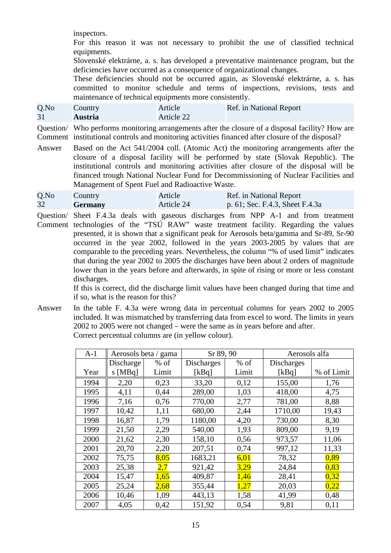inspectors.

For this reason it was not necessary to prohibit the use of classified technical equipments.

Slovenské elektrárne, a. s. has developed a preventative maintenance program, but the deficiencies have occurred as a consequence of organizational changes.

These deficiencies should not be occurred again, as Slovenské elektrárne, a. s. has committed to monitor schedule and terms of inspections, revisions, tests and maintenance of technical equipments more consistently.

| Q.No | Country        | Article    | Ref. in National Report |
|------|----------------|------------|-------------------------|
| 31   | <b>Austria</b> | Article 22 |                         |

Question/ Who performs monitoring arrangements after the closure of a disposal facility? How are Comment institutional controls and monitoring activities financed after closure of the disposal?

Answer Based on the Act 541/2004 coll. (Atomic Act) the monitoring arrangements after the closure of a disposal facility will be performed by state (Slovak Republic). The institutional controls and monitoring activities after closure of the disposal will be financed trough National Nuclear Fund for Decommissioning of Nuclear Facilities and Management of Spent Fuel and Radioactive Waste.

| Q.No | Country        | Article    | Ref. in National Report         |
|------|----------------|------------|---------------------------------|
| 32   | <b>Germany</b> | Article 24 | p. 61; Sec. F.4.3, Sheet F.4.3a |

Question/ Sheet F.4.3a deals with gaseous discharges from NPP A-1 and from treatment Comment technologies of the "TSÚ RAW" waste treatment facility. Regarding the values presented, it is shown that a significant peak for Aerosols beta/gamma and Sr-89, Sr-90 occurred in the year 2002, followed in the years 2003-2005 by values that are comparable to the preceding years. Nevertheless, the column "% of used limit" indicates that during the year 2002 to 2005 the discharges have been about 2 orders of magnitude lower than in the years before and afterwards, in spite of rising or more or less constant discharges.

> If this is correct, did the discharge limit values have been changed during that time and if so, what is the reason for this?

Answer In the table F. 4.3a were wrong data in percentual columns for years 2002 to 2005 included. It was mismatched by transferring data from excel to word. The limits in years 2002 to 2005 were not changed – were the same as in years before and after. Correct percentual columns are (in yellow colour).

| $A-1$ |           | Aerosols beta / gama | Sr 89, 90         |        | Aerosols alfa     |            |
|-------|-----------|----------------------|-------------------|--------|-------------------|------------|
|       | Discharge | $%$ of               | <b>Discharges</b> | $%$ of | <b>Discharges</b> |            |
| Year  | $s$ [MBq] | Limit                | [kBq]             | Limit  | [kBq]             | % of Limit |
| 1994  | 2,20      | 0,23                 | 33,20             | 0,12   | 155,00            | 1,76       |
| 1995  | 4,11      | 0,44                 | 289,00            | 1,03   | 418,00            | 4,75       |
| 1996  | 7,16      | 0,76                 | 770,00            | 2,77   | 781,00            | 8,88       |
| 1997  | 10,42     | 1,11                 | 680,00            | 2,44   | 1710,00           | 19,43      |
| 1998  | 16,87     | 1,79                 | 1180,00           | 4,20   | 730,00            | 8,30       |
| 1999  | 21,50     | 2,29                 | 540,00            | 1,93   | 809,00            | 9,19       |
| 2000  | 21,62     | 2,30                 | 158,10            | 0,56   | 973,57            | 11,06      |
| 2001  | 20,70     | 2,20                 | 207,51            | 0,74   | 997,12            | 11,33      |
| 2002  | 75,75     | 8,05                 | 1683,21           | 6,01   | 78,32             | 0,89       |
| 2003  | 25,38     | 2,7                  | 921,42            | 3,29   | 24,84             | 0,83       |
| 2004  | 15,47     | 1,65                 | 409,87            | 1,46   | 28,41             | 0,32       |
| 2005  | 25,24     | 2,68                 | 355,44            | 1,27   | 20,03             | 0,22       |
| 2006  | 10,46     | 1,09                 | 443,13            | 1,58   | 41,99             | 0,48       |
| 2007  | 4,05      | 0,42                 | 151,92            | 0,54   | 9,81              | 0,11       |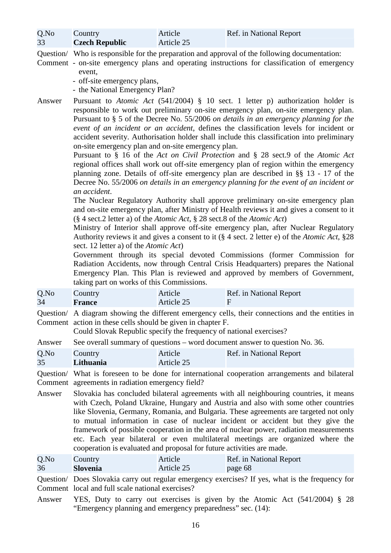Q.No 33 **Country Czech Republic** Article Article 25 Ref. in National Report

Question/ Who is responsible for the preparation and approval of the following documentation:

- Comment on-site emergency plans and operating instructions for classification of emergency event,
	- off-site emergency plans,
	- the National Emergency Plan?

Answer Pursuant to *Atomic Act* (541/2004) § 10 sect. 1 letter p) authorization holder is responsible to work out preliminary on-site emergency plan, on-site emergency plan. Pursuant to § 5 of the Decree No. 55/2006 *on details in an emergency planning for the event of an incident or an accident*, defines the classification levels for incident or accident severity. Authorisation holder shall include this classification into preliminary on-site emergency plan and on-site emergency plan.

> Pursuant to § 16 of the *Act on Civil Protection* and § 28 sect.9 of the *Atomic Act* regional offices shall work out off-site emergency plan of region within the emergency planning zone. Details of off-site emergency plan are described in §§ 13 - 17 of the Decree No. 55/2006 *on details in an emergency planning for the event of an incident or an accident*.

> The Nuclear Regulatory Authority shall approve preliminary on-site emergency plan and on-site emergency plan, after Ministry of Health reviews it and gives a consent to it (§ 4 sect.2 letter a) of the *Atomic Act*, § 28 sect.8 of the *Atomic Act*)

> Ministry of Interior shall approve off-site emergency plan, after Nuclear Regulatory Authority reviews it and gives a consent to it (§ 4 sect. 2 letter e) of the *Atomic Act*, §28 sect. 12 letter a) of the *Atomic Act*)

> Government through its special devoted Commissions (former Commission for Radiation Accidents, now through Central Crisis Headquarters) prepares the National Emergency Plan. This Plan is reviewed and approved by members of Government, taking part on works of this Commissions.

| $Q$ .No | Country       | Article    | Ref. in National Report |
|---------|---------------|------------|-------------------------|
| 34      | <b>France</b> | Article 25 |                         |

Question/ A diagram showing the different emergency cells, their connections and the entities in Comment action in these cells should be given in chapter F.

Could Slovak Republic specify the frequency of national exercises?

Answer See overall summary of questions – word document answer to question No. 36.

| Q.No | Country   | Article    | Ref. in National Report |
|------|-----------|------------|-------------------------|
| 35   | Lithuania | Article 25 |                         |

Question/ What is foreseen to be done for international cooperation arrangements and bilateral Comment agreements in radiation emergency field?

Answer Slovakia has concluded bilateral agreements with all neighbouring countries, it means with Czech, Poland Ukraine, Hungary and Austria and also with some other countries like Slovenia, Germany, Romania, and Bulgaria. These agreements are targeted not only to mutual information in case of nuclear incident or accident but they give the framework of possible cooperation in the area of nuclear power, radiation measurements etc. Each year bilateral or even multilateral meetings are organized where the cooperation is evaluated and proposal for future activities are made.

| Q.No | Country         | Article    | Ref. in National Report |
|------|-----------------|------------|-------------------------|
| 36   | <b>Slovenia</b> | Article 25 | page 68                 |

Question/ Does Slovakia carry out regular emergency exercises? If yes, what is the frequency for Comment local and full scale national exercises?

Answer YES, Duty to carry out exercises is given by the Atomic Act (541/2004) § 28 "Emergency planning and emergency preparedness" sec. (14):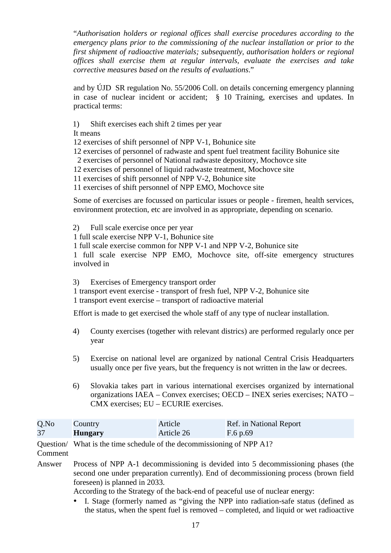"*Authorisation holders or regional offices shall exercise procedures according to the emergency plans prior to the commissioning of the nuclear installation or prior to the first shipment of radioactive materials; subsequently, authorisation holders or regional offices shall exercise them at regular intervals, evaluate the exercises and take corrective measures based on the results of evaluations*."

and by ÚJD SR regulation No. 55/2006 Coll. on details concerning emergency planning in case of nuclear incident or accident; § 10 Training, exercises and updates. In practical terms:

1) Shift exercises each shift 2 times per year

It means

12 exercises of shift personnel of NPP V-1, Bohunice site

12 exercises of personnel of radwaste and spent fuel treatment facility Bohunice site

2 exercises of personnel of National radwaste depository, Mochovce site

12 exercises of personnel of liquid radwaste treatment, Mochovce site

11 exercises of shift personnel of NPP V-2, Bohunice site

11 exercises of shift personnel of NPP EMO, Mochovce site

Some of exercises are focussed on particular issues or people - firemen, health services, environment protection, etc are involved in as appropriate, depending on scenario.

2) Full scale exercise once per year

1 full scale exercise NPP V-1, Bohunice site

1 full scale exercise common for NPP V-1 and NPP V-2, Bohunice site

1 full scale exercise NPP EMO, Mochovce site, off-site emergency structures involved in

3) Exercises of Emergency transport order

1 transport event exercise - transport of fresh fuel, NPP V-2, Bohunice site 1 transport event exercise – transport of radioactive material

Effort is made to get exercised the whole staff of any type of nuclear installation.

- 4) County exercises (together with relevant districs) are performed regularly once per year
- 5) Exercise on national level are organized by national Central Crisis Headquarters usually once per five years, but the frequency is not written in the law or decrees.
- 6) Slovakia takes part in various international exercises organized by international organizations IAEA – Convex exercises; OECD – INEX series exercises; NATO – CMX exercises; EU – ECURIE exercises.

| Q.No | Country        | Article    | Ref. in National Report |
|------|----------------|------------|-------------------------|
| 37   | <b>Hungary</b> | Article 26 | F.6 p.69                |

Question/ What is the time schedule of the decommissioning of NPP A1?

Comment

Answer Process of NPP A-1 decommissioning is devided into 5 decommissioning phases (the second one under preparation currently). End of decommissioning process (brown field foreseen) is planned in 2033.

According to the Strategy of the back-end of peaceful use of nuclear energy:

• I. Stage (formerly named as "giving the NPP into radiation-safe status (defined as the status, when the spent fuel is removed – completed, and liquid or wet radioactive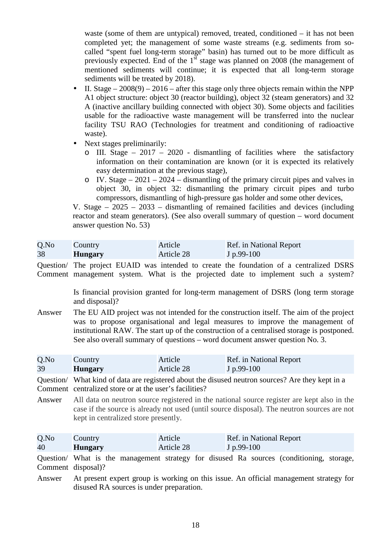waste (some of them are untypical) removed, treated, conditioned – it has not been completed yet; the management of some waste streams (e.g. sediments from socalled "spent fuel long-term storage" basin) has turned out to be more difficult as previously expected. End of the  $1<sup>st</sup>$  stage was planned on 2008 (the management of mentioned sediments will continue; it is expected that all long-term storage sediments will be treated by 2018).

- II. Stage  $-2008(9) 2016$  after this stage only three objects remain within the NPP A1 object structure: object 30 (reactor building), object 32 (steam generators) and 32 A (inactive ancillary building connected with object 30). Some objects and facilities usable for the radioactive waste management will be transferred into the nuclear facility TSU RAO (Technologies for treatment and conditioning of radioactive waste).
- Next stages preliminarily:
	- $\circ$  III. Stage 2017 2020 dismantling of facilities where the satisfactory information on their contamination are known (or it is expected its relatively easy determination at the previous stage),
	- o IV. Stage  $2021 2024$  dismantling of the primary circuit pipes and valves in object 30, in object 32: dismantling the primary circuit pipes and turbo compressors, dismantling of high-pressure gas holder and some other devices,

V. Stage – 2025 – 2033 – dismantling of remained facilities and devices (including reactor and steam generators). (See also overall summary of question – word document answer question No. 53)

| Q.No | Country        | Article    | Ref. in National Report |
|------|----------------|------------|-------------------------|
| 38   | <b>Hungary</b> | Article 28 | $J p.99-100$            |

Question/ The project EUAID was intended to create the foundation of a centralized DSRS Comment management system. What is the projected date to implement such a system?

> Is financial provision granted for long-term management of DSRS (long term storage and disposal)?

Answer The EU AID project was not intended for the construction itself. The aim of the project was to propose organisational and legal measures to improve the management of institutional RAW. The start up of the construction of a centralised storage is postponed. See also overall summary of questions – word document answer question No. 3.

| $Q$ .No | Country        | Article    | Ref. in National Report |
|---------|----------------|------------|-------------------------|
| 39      | <b>Hungary</b> | Article 28 | $J p.99-100$            |

Question/ What kind of data are registered about the disused neutron sources? Are they kept in a Comment centralized store or at the user's facilities?

Answer All data on neutron source registered in the national source register are kept also in the case if the source is already not used (until source disposal). The neutron sources are not kept in centralized store presently.

| Q.No | Country        | Article    | Ref. in National Report |
|------|----------------|------------|-------------------------|
| 40   | <b>Hungary</b> | Article 28 | $J p.99-100$            |

Question/ What is the management strategy for disused Ra sources (conditioning, storage, Comment disposal)?

Answer At present expert group is working on this issue. An official management strategy for disused RA sources is under preparation.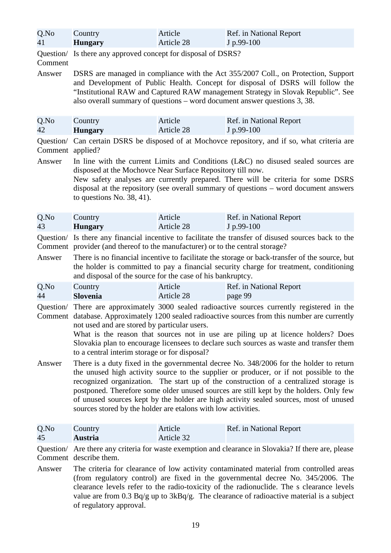| Q.No | Country        | Article    | Ref. in National Report |
|------|----------------|------------|-------------------------|
| 41   | <b>Hungary</b> | Article 28 | $J$ p.99-100            |

Question/ Is there any approved concept for disposal of DSRS?

## Comment

Answer DSRS are managed in compliance with the Act 355/2007 Coll., on Protection, Support and Development of Public Health. Concept for disposal of DSRS will follow the "Institutional RAW and Captured RAW management Strategy in Slovak Republic". See also overall summary of questions – word document answer questions 3, 38.

| Q.No | Country        | Article    | Ref. in National Report |
|------|----------------|------------|-------------------------|
| 42   | <b>Hungary</b> | Article 28 | $J p.99-100$            |

Question/ Can certain DSRS be disposed of at Mochovce repository, and if so, what criteria are Comment applied?

Answer In line with the current Limits and Conditions (L&C) no disused sealed sources are disposed at the Mochovce Near Surface Repository till now. New safety analyses are currently prepared. There will be criteria for some DSRS disposal at the repository (see overall summary of questions – word document answers

to questions No. 38, 41).

| Q.No | Country        | Article    | Ref. in National Report |
|------|----------------|------------|-------------------------|
| 43   | <b>Hungary</b> | Article 28 | $J p.99-100$            |

Question/ Is there any financial incentive to facilitate the transfer of disused sources back to the Comment provider (and thereof to the manufacturer) or to the central storage?

Answer There is no financial incentive to facilitate the storage or back-transfer of the source, but the holder is committed to pay a financial security charge for treatment, conditioning and disposal of the source for the case of his bankruptcy.

| $Q$ .No | Country         | Article    | Ref. in National Report |
|---------|-----------------|------------|-------------------------|
| 44      | <b>Slovenia</b> | Article 28 | page 99                 |

Question/ There are approximately 3000 sealed radioactive sources currently registered in the Comment database. Approximately 1200 sealed radioactive sources from this number are currently not used and are stored by particular users.

> What is the reason that sources not in use are piling up at licence holders? Does Slovakia plan to encourage licensees to declare such sources as waste and transfer them to a central interim storage or for disposal?

Answer There is a duty fixed in the governmental decree No. 348/2006 for the holder to return the unused high activity source to the supplier or producer, or if not possible to the recognized organization. The start up of the construction of a centralized storage is postponed. Therefore some older unused sources are still kept by the holders. Only few of unused sources kept by the holder are high activity sealed sources, most of unused sources stored by the holder are etalons with low activities.

| Q.No | Country        | Article    | Ref. in National Report |
|------|----------------|------------|-------------------------|
| 45   | <b>Austria</b> | Article 32 |                         |

Question/ Are there any criteria for waste exemption and clearance in Slovakia? If there are, please Comment describe them.

Answer The criteria for clearance of low activity contaminated material from controlled areas (from regulatory control) are fixed in the governmental decree No. 345/2006. The clearance levels refer to the radio-toxicity of the radionuclide. The s clearance levels value are from 0.3 Bq/g up to 3kBq/g. The clearance of radioactive material is a subject of regulatory approval.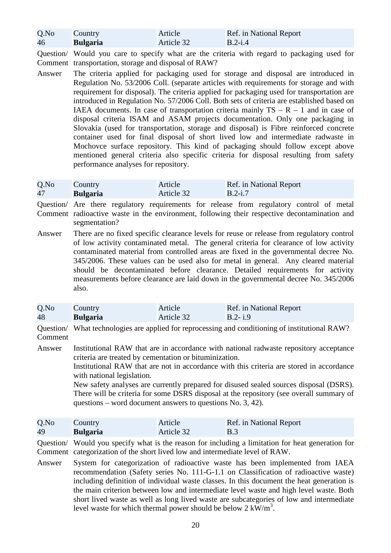| Q.No | Country         | Article    | Ref. in National Report |
|------|-----------------|------------|-------------------------|
| 46   | <b>Bulgaria</b> | Article 32 | $B.2-i.4$               |

Question/ Would you care to specify what are the criteria with regard to packaging used for Comment transportation, storage and disposal of RAW?

Answer The criteria applied for packaging used for storage and disposal are introduced in Regulation No. 53/2006 Coll. (separate articles with requirements for storage and with requirement for disposal). The criteria applied for packaging used for transportation are introduced in Regulation No. 57/2006 Coll. Both sets of criteria are established based on IAEA documents. In case of transportation criteria mainly  $TS - R - 1$  and in case of disposal criteria ISAM and ASAM projects documentation. Only one packaging in Slovakia (used for transportation, storage and disposal) is Fibre reinforced concrete container used for final disposal of short lived low and intermediate radwaste in Mochovce surface repository. This kind of packaging should follow except above mentioned general criteria also specific criteria for disposal resulting from safety performance analyses for repository.

| Q.No | Country         | Article    | Ref. in National Report |
|------|-----------------|------------|-------------------------|
| 47   | <b>Bulgaria</b> | Article 32 | $B.2 - i.7$             |

Question/ Are there regulatory requirements for release from regulatory control of metal Comment radioactive waste in the environment, following their respective decontamination and segmentation?

Answer There are no fixed specific clearance levels for reuse or release from regulatory control of low activity contaminated metal. The general criteria for clearance of low activity contaminated material from controlled areas are fixed in the governmental decree No. 345/2006. These values can be used also for metal in general. Any cleared material should be decontaminated before clearance. Detailed requirements for activity measurements before clearance are laid down in the governmental decree No. 345/2006 also.

| $Q$ .No | Country         | Article    | Ref. in National Report |
|---------|-----------------|------------|-------------------------|
| 48      | <b>Bulgaria</b> | Article 32 | $B.2 - i.9$             |

Question/ What technologies are applied for reprocessing and conditioning of institutional RAW? Comment

Answer Institutional RAW that are in accordance with national radwaste repository acceptance criteria are treated by cementation or bituminization.

Institutional RAW that are not in accordance with this criteria are stored in accordance with national legislation.

New safety analyses are currently prepared for disused sealed sources disposal (DSRS). There will be criteria for some DSRS disposal at the repository (see overall summary of questions – word document answers to questions No. 3, 42).

| Q.No | Country         | Article    | Ref. in National Report |
|------|-----------------|------------|-------------------------|
| 49   | <b>Bulgaria</b> | Article 32 | <b>B.3</b>              |

Question/ Would you specify what is the reason for including a limitation for heat generation for Comment categorization of the short lived low and intermediate level of RAW.

Answer System for categorization of radioactive waste has been implemented from IAEA recommendation (Safety series No. 111-G-1.1 on Classification of radioactive waste) including definition of individual waste classes. In this document the heat generation is the main criterion between low and intermediate level waste and high level waste. Both short lived waste as well as long lived waste are subcategories of low and intermediate level waste for which thermal power should be below  $2 \text{ kW/m}^3$ .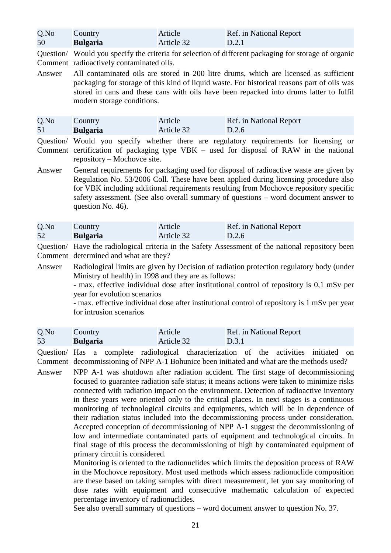| Q.No | Country         | Article    | Ref. in National Report |
|------|-----------------|------------|-------------------------|
| 50   | <b>Bulgaria</b> | Article 32 | D.2.1                   |

Question/ Would you specify the criteria for selection of different packaging for storage of organic Comment radioactively contaminated oils.

Answer All contaminated oils are stored in 200 litre drums, which are licensed as sufficient packaging for storage of this kind of liquid waste. For historical reasons part of oils was stored in cans and these cans with oils have been repacked into drums latter to fulfil modern storage conditions.

| Q.No | Country         | Article    | Ref. in National Report |
|------|-----------------|------------|-------------------------|
| 51   | <b>Bulgaria</b> | Article 32 | $\bigcup$ D.2.6         |

Question/ Would you specify whether there are regulatory requirements for licensing or Comment certification of packaging type VBK – used for disposal of RAW in the national repository – Mochovce site.

Answer General requirements for packaging used for disposal of radioactive waste are given by Regulation No. 53/2006 Coll. These have been applied during licensing procedure also for VBK including additional requirements resulting from Mochovce repository specific safety assessment. (See also overall summary of questions – word document answer to question No. 46).

| Q.No | <b>Country</b>  | Article    | Ref. in National Report |
|------|-----------------|------------|-------------------------|
| 52   | <b>Bulgaria</b> | Article 32 | D.2.6                   |

Question/ Have the radiological criteria in the Safety Assessment of the national repository been Comment determined and what are they?

Answer Radiological limits are given by Decision of radiation protection regulatory body (under Ministry of health) in 1998 and they are as follows:

- max. effective individual dose after institutional control of repository is 0,1 mSv per year for evolution scenarios

- max. effective individual dose after institutional control of repository is 1 mSv per year for intrusion scenarios

| $Q$ .No | Country         | Article    | Ref. in National Report |
|---------|-----------------|------------|-------------------------|
| 53      | <b>Bulgaria</b> | Article 32 | D.3.1                   |

Question/ Has a complete radiological characterization of the activities initiated on Comment decommissioning of NPP A-1 Bohunice been initiated and what are the methods used?

Answer NPP A-1 was shutdown after radiation accident. The first stage of decommissioning focused to guarantee radiation safe status; it means actions were taken to minimize risks connected with radiation impact on the environment. Detection of radioactive inventory in these years were oriented only to the critical places. In next stages is a continuous monitoring of technological circuits and equipments, which will be in dependence of their radiation status included into the decommissioning process under consideration. Accepted conception of decommissioning of NPP A-1 suggest the decommissioning of low and intermediate contaminated parts of equipment and technological circuits. In final stage of this process the decommissioning of high by contaminated equipment of primary circuit is considered.

Monitoring is oriented to the radionuclides which limits the deposition process of RAW in the Mochovce repository. Most used methods which assess radionuclide composition are these based on taking samples with direct measurement, let you say monitoring of dose rates with equipment and consecutive mathematic calculation of expected percentage inventory of radionuclides.

See also overall summary of questions – word document answer to question No. 37.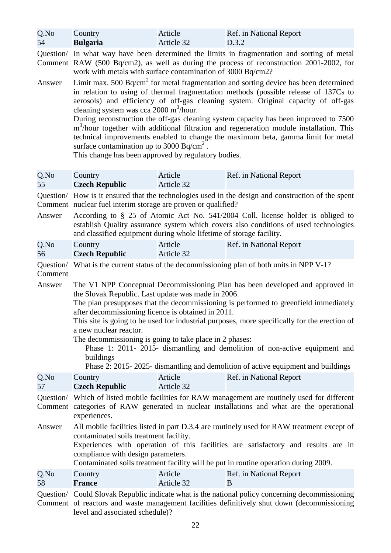| Q.No | Country         | Article    | Ref. in National Report |
|------|-----------------|------------|-------------------------|
| 54   | <b>Bulgaria</b> | Article 32 | D.3.2                   |

Question/ In what way have been determined the limits in fragmentation and sorting of metal Comment RAW (500 Bq/cm2), as well as during the process of reconstruction 2001-2002, for work with metals with surface contamination of 3000 Bq/cm2?

Answer Limit max. 500 Bq/cm<sup>2</sup> for metal fragmentation and sorting device has been determined in relation to using of thermal fragmentation methods (possible release of 137Cs to aerosols) and efficiency of off-gas cleaning system. Original capacity of off-gas cleaning system was cca  $2000 \text{ m}^3/\text{hour.}$ 

During reconstruction the off-gas cleaning system capacity has been improved to 7500 m<sup>3</sup>/hour together with additional filtration and regeneration module installation. This technical improvements enabled to change the maximum beta, gamma limit for metal surface contamination up to 3000 Bq/cm<sup>2</sup>.

This change has been approved by regulatory bodies.

| Q.No | <b>Country</b>        | Article    | Ref. in National Report |
|------|-----------------------|------------|-------------------------|
| 55   | <b>Czech Republic</b> | Article 32 |                         |

Question/ How is it ensured that the technologies used in the design and construction of the spent Comment nuclear fuel interim storage are proven or qualified?

Answer According to § 25 of Atomic Act No. 541/2004 Coll. license holder is obliged to establish Quality assurance system which covers also conditions of used technologies and classified equipment during whole lifetime of storage facility.

| Q.No | Country               | Article    | Ref. in National Report |
|------|-----------------------|------------|-------------------------|
| 56   | <b>Czech Republic</b> | Article 32 |                         |

Question/ What is the current status of the decommissioning plan of both units in NPP V-1? Comment

Answer The V1 NPP Conceptual Decommissioning Plan has been developed and approved in the Slovak Republic. Last update was made in 2006.

The plan presupposes that the decommissioning is performed to greenfield immediately after decommissioning licence is obtained in 2011.

This site is going to be used for industrial purposes, more specifically for the erection of a new nuclear reactor.

The decommissioning is going to take place in 2 phases:

Phase 1: 2011- 2015- dismantling and demolition of non-active equipment and buildings

Phase 2: 2015- 2025- dismantling and demolition of active equipment and buildings

| Q.No | Country               | Article    | Ref. in National Report |
|------|-----------------------|------------|-------------------------|
| 57   | <b>Czech Republic</b> | Article 32 |                         |

Question/ Which of listed mobile facilities for RAW management are routinely used for different Comment categories of RAW generated in nuclear installations and what are the operational experiences.

Answer All mobile facilities listed in part D.3.4 are routinely used for RAW treatment except of contaminated soils treatment facility.

Experiences with operation of this facilities are satisfactory and results are in compliance with design parameters.

Contaminated soils treatment facility will be put in routine operation during 2009.

| Q.No | Country | Article    | Ref. in National Report |
|------|---------|------------|-------------------------|
| 58   | France  | Article 32 |                         |

Question/ Could Slovak Republic indicate what is the national policy concerning decommissioning Comment of reactors and waste management facilities definitively shut down (decommissioning level and associated schedule)?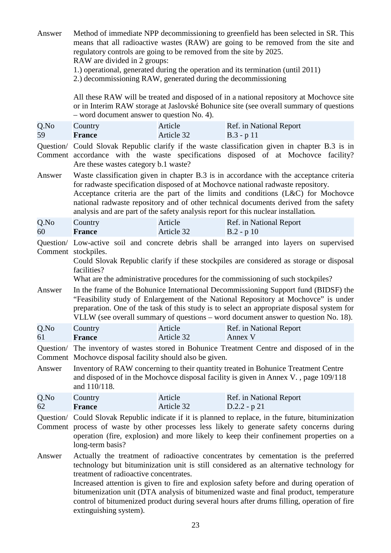| Answer               | Method of immediate NPP decommissioning to greenfield has been selected in SR. This<br>means that all radioactive wastes (RAW) are going to be removed from the site and<br>regulatory controls are going to be removed from the site by 2025.<br>RAW are divided in 2 groups:<br>1.) operational, generated during the operation and its termination (until 2011)<br>2.) decommissioning RAW, generated during the decommissioning                                                                                                  |                       |                                                                                                                                                                                                                                                                                                                                                                                                                                                |  |
|----------------------|--------------------------------------------------------------------------------------------------------------------------------------------------------------------------------------------------------------------------------------------------------------------------------------------------------------------------------------------------------------------------------------------------------------------------------------------------------------------------------------------------------------------------------------|-----------------------|------------------------------------------------------------------------------------------------------------------------------------------------------------------------------------------------------------------------------------------------------------------------------------------------------------------------------------------------------------------------------------------------------------------------------------------------|--|
|                      | - word document answer to question No. 4).                                                                                                                                                                                                                                                                                                                                                                                                                                                                                           |                       | All these RAW will be treated and disposed of in a national repository at Mochovce site<br>or in Interim RAW storage at Jaslovské Bohunice site (see overall summary of questions                                                                                                                                                                                                                                                              |  |
| Q.No<br>59           | Country<br><b>France</b>                                                                                                                                                                                                                                                                                                                                                                                                                                                                                                             | Article<br>Article 32 | Ref. in National Report<br>$B.3 - p 11$                                                                                                                                                                                                                                                                                                                                                                                                        |  |
|                      | Are these wastes category b.1 waste?                                                                                                                                                                                                                                                                                                                                                                                                                                                                                                 |                       | Question/ Could Slovak Republic clarify if the waste classification given in chapter B.3 is in<br>Comment accordance with the waste specifications disposed of at Mochovce facility?                                                                                                                                                                                                                                                           |  |
| Answer               |                                                                                                                                                                                                                                                                                                                                                                                                                                                                                                                                      |                       | Waste classification given in chapter B.3 is in accordance with the acceptance criteria<br>for radwaste specification disposed of at Mochovce national radwaste repository.<br>Acceptance criteria are the part of the limits and conditions (L&C) for Mochovce<br>national radwaste repository and of other technical documents derived from the safety<br>analysis and are part of the safety analysis report for this nuclear installation. |  |
| Q.No<br>60           | Country<br><b>France</b>                                                                                                                                                                                                                                                                                                                                                                                                                                                                                                             | Article<br>Article 32 | Ref. in National Report<br>$B.2 - p 10$                                                                                                                                                                                                                                                                                                                                                                                                        |  |
|                      | Comment stockpiles.<br>facilities?                                                                                                                                                                                                                                                                                                                                                                                                                                                                                                   |                       | Question/ Low-active soil and concrete debris shall be arranged into layers on supervised<br>Could Slovak Republic clarify if these stockpiles are considered as storage or disposal<br>What are the administrative procedures for the commissioning of such stockpiles?                                                                                                                                                                       |  |
| Answer               |                                                                                                                                                                                                                                                                                                                                                                                                                                                                                                                                      |                       | In the frame of the Bohunice International Decommissioning Support fund (BIDSF) the<br>"Feasibility study of Enlargement of the National Repository at Mochovce" is under<br>preparation. One of the task of this study is to select an appropriate disposal system for<br>VLLW (see overall summary of questions – word document answer to question No. 18).                                                                                  |  |
| Q.No<br>61           | Country<br><b>France</b>                                                                                                                                                                                                                                                                                                                                                                                                                                                                                                             | Article<br>Article 32 | Ref. in National Report<br>Annex V                                                                                                                                                                                                                                                                                                                                                                                                             |  |
| Question/<br>Comment | Mochovee disposal facility should also be given.                                                                                                                                                                                                                                                                                                                                                                                                                                                                                     |                       | The inventory of wastes stored in Bohunice Treatment Centre and disposed of in the                                                                                                                                                                                                                                                                                                                                                             |  |
| Answer               | Inventory of RAW concerning to their quantity treated in Bohunice Treatment Centre<br>and disposed of in the Mochovce disposal facility is given in Annex V., page 109/118<br>and 110/118.                                                                                                                                                                                                                                                                                                                                           |                       |                                                                                                                                                                                                                                                                                                                                                                                                                                                |  |
| Q.No<br>62           | Country<br><b>France</b>                                                                                                                                                                                                                                                                                                                                                                                                                                                                                                             | Article<br>Article 32 | Ref. in National Report<br>$D.2.2 - p 21$                                                                                                                                                                                                                                                                                                                                                                                                      |  |
| Question/            | Could Slovak Republic indicate if it is planned to replace, in the future, bituminization<br>Comment process of waste by other processes less likely to generate safety concerns during<br>operation (fire, explosion) and more likely to keep their confinement properties on a<br>long-term basis?                                                                                                                                                                                                                                 |                       |                                                                                                                                                                                                                                                                                                                                                                                                                                                |  |
| Answer               | Actually the treatment of radioactive concentrates by cementation is the preferred<br>technology but bituminization unit is still considered as an alternative technology for<br>treatment of radioactive concentrates.<br>Increased attention is given to fire and explosion safety before and during operation of<br>bitumenization unit (DTA analysis of bitumenized waste and final product, temperature<br>control of bitumenized product during several hours after drums filling, operation of fire<br>extinguishing system). |                       |                                                                                                                                                                                                                                                                                                                                                                                                                                                |  |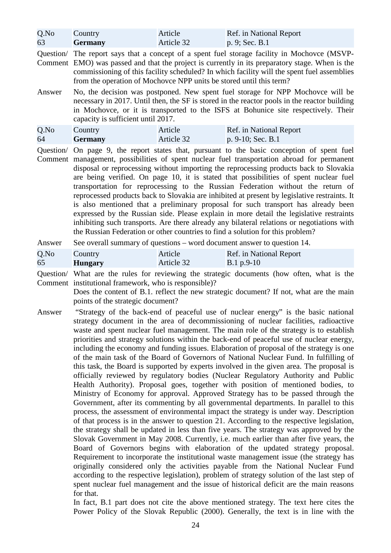| Q.No | Country        | Article    | Ref. in National Report |
|------|----------------|------------|-------------------------|
| 63   | <b>Germany</b> | Article 32 | p. 9; Sec. B.1          |

Question/ The report says that a concept of a spent fuel storage facility in Mochovce (MSVP-Comment EMO) was passed and that the project is currently in its preparatory stage. When is the commissioning of this facility scheduled? In which facility will the spent fuel assemblies from the operation of Mochovce NPP units be stored until this term?

Answer No, the decision was postponed. New spent fuel storage for NPP Mochovce will be necessary in 2017. Until then, the SF is stored in the reactor pools in the reactor building in Mochovce, or it is transported to the ISFS at Bohunice site respectively. Their capacity is sufficient until 2017.

| Q.No | Country        | Article    | Ref. in National Report |
|------|----------------|------------|-------------------------|
| 64   | <b>Germany</b> | Article 32 | $ p. 9-10;$ Sec. B.1    |

Question/ On page 9, the report states that, pursuant to the basic conception of spent fuel Comment management, possibilities of spent nuclear fuel transportation abroad for permanent disposal or reprocessing without importing the reprocessing products back to Slovakia are being verified. On page 10, it is stated that possibilities of spent nuclear fuel transportation for reprocessing to the Russian Federation without the return of reprocessed products back to Slovakia are inhibited at present by legislative restraints. It is also mentioned that a preliminary proposal for such transport has already been expressed by the Russian side. Please explain in more detail the legislative restraints inhibiting such transports. Are there already any bilateral relations or negotiations with the Russian Federation or other countries to find a solution for this problem?

Answer See overall summary of questions – word document answer to question 14.

| Q.No | Country        | Article    | Ref. in National Report |
|------|----------------|------------|-------------------------|
| 65   | <b>Hungary</b> | Article 32 | $B.1 p.9-10$            |

Question/ What are the rules for reviewing the strategic documents (how often, what is the Comment institutional framework, who is responsible)?

Does the content of B.1. reflect the new strategic document? If not, what are the main points of the strategic document?

Answer "Strategy of the back-end of peaceful use of nuclear energy" is the basic national strategy document in the area of decommissioning of nuclear facilities, radioactive waste and spent nuclear fuel management. The main role of the strategy is to establish priorities and strategy solutions within the back-end of peaceful use of nuclear energy, including the economy and funding issues. Elaboration of proposal of the strategy is one of the main task of the Board of Governors of National Nuclear Fund. In fulfilling of this task, the Board is supported by experts involved in the given area. The proposal is officially reviewed by regulatory bodies (Nuclear Regulatory Authority and Public Health Authority). Proposal goes, together with position of mentioned bodies, to Ministry of Economy for approval. Approved Strategy has to be passed through the Government, after its commenting by all governmental departments. In parallel to this process, the assessment of environmental impact the strategy is under way. Description of that process is in the answer to question 21. According to the respective legislation, the strategy shall be updated in less than five years. The strategy was approved by the Slovak Government in May 2008. Currently, i.e. much earlier than after five years, the Board of Governors begins with elaboration of the updated strategy proposal. Requirement to incorporate the institutional waste management issue (the strategy has originally considered only the activities payable from the National Nuclear Fund according to the respective legislation), problem of strategy solution of the last step of spent nuclear fuel management and the issue of historical deficit are the main reasons for that.

> In fact, B.1 part does not cite the above mentioned strategy. The text here cites the Power Policy of the Slovak Republic (2000). Generally, the text is in line with the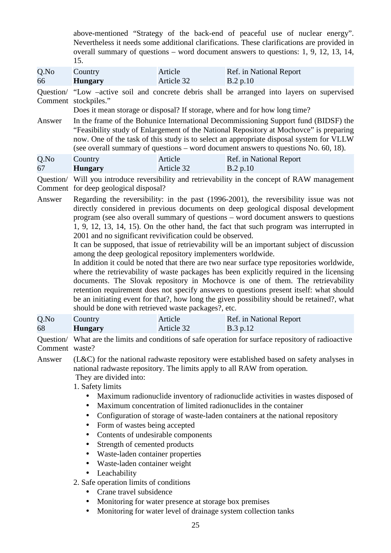above-mentioned "Strategy of the back-end of peaceful use of nuclear energy". Nevertheless it needs some additional clarifications. These clarifications are provided in overall summary of questions – word document answers to questions: 1, 9, 12, 13, 14, 15.

Q.No 66 **Country Hungary** Article Article 32 Ref. in National Report B.2 p.10

Question/ "Low –active soil and concrete debris shall be arranged into layers on supervised Comment stockpiles."

Does it mean storage or disposal? If storage, where and for how long time?

Answer In the frame of the Bohunice International Decommissioning Support fund (BIDSF) the "Feasibility study of Enlargement of the National Repository at Mochovce" is preparing now. One of the task of this study is to select an appropriate disposal system for VLLW (see overall summary of questions – word document answers to questions No. 60, 18).

| Q.No | Country        | Article    | Ref. in National Report |
|------|----------------|------------|-------------------------|
| 67   | <b>Hungary</b> | Article 32 | $\mathbf{B.2 p.10}$     |

Question/ Will you introduce reversibility and retrievability in the concept of RAW management Comment for deep geological disposal?

Answer Regarding the reversibility: in the past (1996-2001), the reversibility issue was not directly considered in previous documents on deep geological disposal development program (see also overall summary of questions – word document answers to questions 1, 9, 12, 13, 14, 15). On the other hand, the fact that such program was interrupted in 2001 and no significant revivification could be observed.

It can be supposed, that issue of retrievability will be an important subject of discussion among the deep geological repository implementers worldwide.

In addition it could be noted that there are two near surface type repositories worldwide, where the retrievability of waste packages has been explicitly required in the licensing documents. The Slovak repository in Mochovce is one of them. The retrievability retention requirement does not specify answers to questions present itself: what should be an initiating event for that?, how long the given possibility should be retained?, what should be done with retrieved waste packages?, etc.

| Q.No | Country        | Article    | Ref. in National Report |
|------|----------------|------------|-------------------------|
| 68   | <b>Hungary</b> | Article 32 | $\vert$ B.3 p.12        |

Question/ What are the limits and conditions of safe operation for surface repository of radioactive Comment waste?

Answer (L&C) for the national radwaste repository were established based on safety analyses in national radwaste repository. The limits apply to all RAW from operation. They are divided into:

1. Safety limits

- Maximum radionuclide inventory of radionuclide activities in wastes disposed of
- Maximum concentration of limited radionuclides in the container
- Configuration of storage of waste-laden containers at the national repository
- Form of wastes being accepted
- Contents of undesirable components
- Strength of cemented products
- Waste-laden container properties
- Waste-laden container weight
- Leachability

2. Safe operation limits of conditions

- Crane travel subsidence
- Monitoring for water presence at storage box premises
- Monitoring for water level of drainage system collection tanks